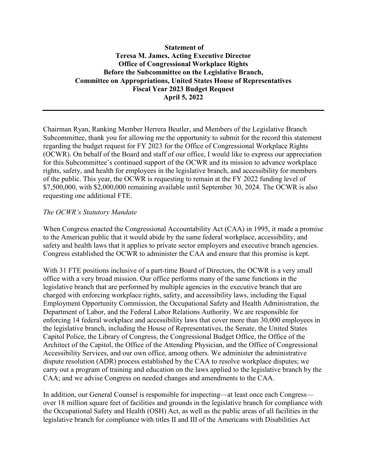# **Statement of Teresa M. James, Acting Executive Director Office of Congressional Workplace Rights Before the Subcommittee on the Legislative Branch, Committee on Appropriations, United States House of Representatives Fiscal Year 2023 Budget Request April 5, 2022**

Chairman Ryan, Ranking Member Herrera Beutler, and Members of the Legislative Branch Subcommittee, thank you for allowing me the opportunity to submit for the record this statement regarding the budget request for FY 2023 for the Office of Congressional Workplace Rights (OCWR). On behalf of the Board and staff of our office, I would like to express our appreciation for this Subcommittee's continued support of the OCWR and its mission to advance workplace rights, safety, and health for employees in the legislative branch, and accessibility for members of the public. This year, the OCWR is requesting to remain at the FY 2022 funding level of \$7,500,000, with \$2,000,000 remaining available until September 30, 2024. The OCWR is also requesting one additional FTE.

## *The OCWR's Statutory Mandate*

When Congress enacted the Congressional Accountability Act (CAA) in 1995, it made a promise to the American public that it would abide by the same federal workplace, accessibility, and safety and health laws that it applies to private sector employers and executive branch agencies. Congress established the OCWR to administer the CAA and ensure that this promise is kept.

With 31 FTE positions inclusive of a part-time Board of Directors, the OCWR is a very small office with a very broad mission. Our office performs many of the same functions in the legislative branch that are performed by multiple agencies in the executive branch that are charged with enforcing workplace rights, safety, and accessibility laws, including the Equal Employment Opportunity Commission, the Occupational Safety and Health Administration, the Department of Labor, and the Federal Labor Relations Authority. We are responsible for enforcing 14 federal workplace and accessibility laws that cover more than 30,000 employees in the legislative branch, including the House of Representatives, the Senate, the United States Capitol Police, the Library of Congress, the Congressional Budget Office, the Office of the Architect of the Capitol, the Office of the Attending Physician, and the Office of Congressional Accessibility Services, and our own office, among others. We administer the administrative dispute resolution (ADR) process established by the CAA to resolve workplace disputes; we carry out a program of training and education on the laws applied to the legislative branch by the CAA; and we advise Congress on needed changes and amendments to the CAA.

In addition, our General Counsel is responsible for inspecting—at least once each Congress over 18 million square feet of facilities and grounds in the legislative branch for compliance with the Occupational Safety and Health (OSH) Act, as well as the public areas of all facilities in the legislative branch for compliance with titles II and III of the Americans with Disabilities Act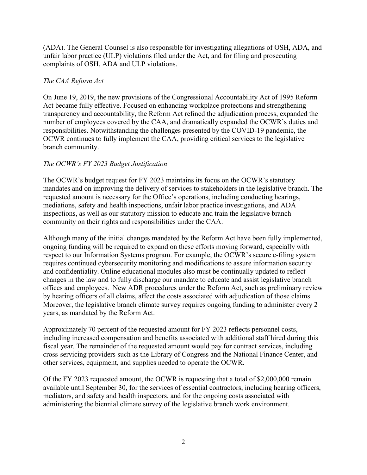(ADA). The General Counsel is also responsible for investigating allegations of OSH, ADA, and unfair labor practice (ULP) violations filed under the Act, and for filing and prosecuting complaints of OSH, ADA and ULP violations.

## *The CAA Reform Act*

On June 19, 2019, the new provisions of the Congressional Accountability Act of 1995 Reform Act became fully effective. Focused on enhancing workplace protections and strengthening transparency and accountability, the Reform Act refined the adjudication process, expanded the number of employees covered by the CAA, and dramatically expanded the OCWR's duties and responsibilities. Notwithstanding the challenges presented by the COVID-19 pandemic, the OCWR continues to fully implement the CAA, providing critical services to the legislative branch community.

# *The OCWR's FY 2023 Budget Justification*

The OCWR's budget request for FY 2023 maintains its focus on the OCWR's statutory mandates and on improving the delivery of services to stakeholders in the legislative branch. The requested amount is necessary for the Office's operations, including conducting hearings, mediations, safety and health inspections, unfair labor practice investigations, and ADA inspections, as well as our statutory mission to educate and train the legislative branch community on their rights and responsibilities under the CAA.

Although many of the initial changes mandated by the Reform Act have been fully implemented, ongoing funding will be required to expand on these efforts moving forward, especially with respect to our Information Systems program. For example, the OCWR's secure e-filing system requires continued cybersecurity monitoring and modifications to assure information security and confidentiality. Online educational modules also must be continually updated to reflect changes in the law and to fully discharge our mandate to educate and assist legislative branch offices and employees. New ADR procedures under the Reform Act, such as preliminary review by hearing officers of all claims, affect the costs associated with adjudication of those claims. Moreover, the legislative branch climate survey requires ongoing funding to administer every 2 years, as mandated by the Reform Act.

Approximately 70 percent of the requested amount for FY 2023 reflects personnel costs, including increased compensation and benefits associated with additional staff hired during this fiscal year. The remainder of the requested amount would pay for contract services, including cross-servicing providers such as the Library of Congress and the National Finance Center, and other services, equipment, and supplies needed to operate the OCWR.

Of the FY 2023 requested amount, the OCWR is requesting that a total of \$2,000,000 remain available until September 30, for the services of essential contractors, including hearing officers, mediators, and safety and health inspectors, and for the ongoing costs associated with administering the biennial climate survey of the legislative branch work environment.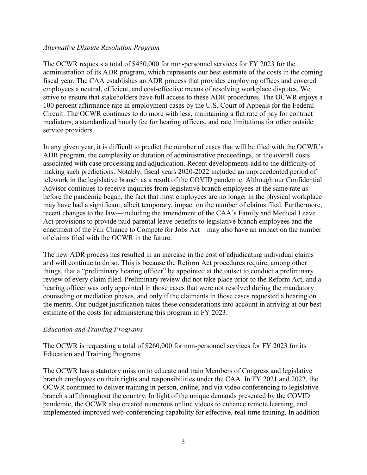### *Alternative Dispute Resolution Program*

The OCWR requests a total of \$450,000 for non-personnel services for FY 2023 for the administration of its ADR program, which represents our best estimate of the costs in the coming fiscal year. The CAA establishes an ADR process that provides employing offices and covered employees a neutral, efficient, and cost-effective means of resolving workplace disputes. We strive to ensure that stakeholders have full access to these ADR procedures. The OCWR enjoys a 100 percent affirmance rate in employment cases by the U.S. Court of Appeals for the Federal Circuit. The OCWR continues to do more with less, maintaining a flat rate of pay for contract mediators, a standardized hourly fee for hearing officers, and rate limitations for other outside service providers.

In any given year, it is difficult to predict the number of cases that will be filed with the OCWR's ADR program, the complexity or duration of administrative proceedings, or the overall costs associated with case processing and adjudication. Recent developments add to the difficulty of making such predictions. Notably, fiscal years 2020-2022 included an unprecedented period of telework in the legislative branch as a result of the COVID pandemic. Although our Confidential Advisor continues to receive inquiries from legislative branch employees at the same rate as before the pandemic began, the fact that most employees are no longer in the physical workplace may have had a significant, albeit temporary, impact on the number of claims filed. Furthermore, recent changes to the law—including the amendment of the CAA's Family and Medical Leave Act provisions to provide paid parental leave benefits to legislative branch employees and the enactment of the Fair Chance to Compete for Jobs Act—may also have an impact on the number of claims filed with the OCWR in the future.

The new ADR process has resulted in an increase in the cost of adjudicating individual claims and will continue to do so. This is because the Reform Act procedures require, among other things, that a "preliminary hearing officer" be appointed at the outset to conduct a preliminary review of every claim filed. Preliminary review did not take place prior to the Reform Act, and a hearing officer was only appointed in those cases that were not resolved during the mandatory counseling or mediation phases, and only if the claimants in those cases requested a hearing on the merits. Our budget justification takes these considerations into account in arriving at our best estimate of the costs for administering this program in FY 2023.

### *Education and Training Programs*

The OCWR is requesting a total of \$260,000 for non-personnel services for FY 2023 for its Education and Training Programs.

The OCWR has a statutory mission to educate and train Members of Congress and legislative branch employees on their rights and responsibilities under the CAA. In FY 2021 and 2022, the OCWR continued to deliver training in person, online, and via video conferencing to legislative branch staff throughout the country. In light of the unique demands presented by the COVID pandemic, the OCWR also created numerous online videos to enhance remote learning, and implemented improved web-conferencing capability for effective, real-time training. In addition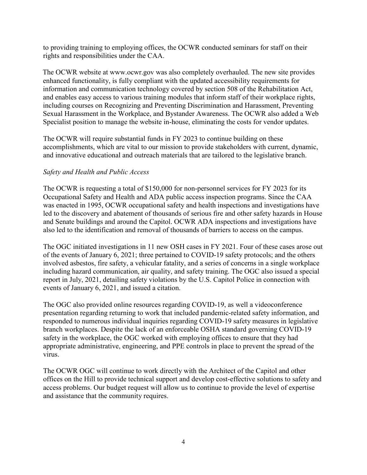to providing training to employing offices, the OCWR conducted seminars for staff on their rights and responsibilities under the CAA.

The OCWR website at www.ocwr.gov was also completely overhauled. The new site provides enhanced functionality, is fully compliant with the updated accessibility requirements for information and communication technology covered by section 508 of the Rehabilitation Act, and enables easy access to various training modules that inform staff of their workplace rights, including courses on Recognizing and Preventing Discrimination and Harassment, Preventing Sexual Harassment in the Workplace, and Bystander Awareness. The OCWR also added a Web Specialist position to manage the website in-house, eliminating the costs for vendor updates.

The OCWR will require substantial funds in FY 2023 to continue building on these accomplishments, which are vital to our mission to provide stakeholders with current, dynamic, and innovative educational and outreach materials that are tailored to the legislative branch.

# *Safety and Health and Public Access*

The OCWR is requesting a total of \$150,000 for non-personnel services for FY 2023 for its Occupational Safety and Health and ADA public access inspection programs. Since the CAA was enacted in 1995, OCWR occupational safety and health inspections and investigations have led to the discovery and abatement of thousands of serious fire and other safety hazards in House and Senate buildings and around the Capitol. OCWR ADA inspections and investigations have also led to the identification and removal of thousands of barriers to access on the campus.

The OGC initiated investigations in 11 new OSH cases in FY 2021. Four of these cases arose out of the events of January 6, 2021; three pertained to COVID-19 safety protocols; and the others involved asbestos, fire safety, a vehicular fatality, and a series of concerns in a single workplace including hazard communication, air quality, and safety training. The OGC also issued a special report in July, 2021, detailing safety violations by the U.S. Capitol Police in connection with events of January 6, 2021, and issued a citation.

The OGC also provided online resources regarding COVID-19, as well a videoconference presentation regarding returning to work that included pandemic-related safety information, and responded to numerous individual inquiries regarding COVID-19 safety measures in legislative branch workplaces. Despite the lack of an enforceable OSHA standard governing COVID-19 safety in the workplace, the OGC worked with employing offices to ensure that they had appropriate administrative, engineering, and PPE controls in place to prevent the spread of the virus.

The OCWR OGC will continue to work directly with the Architect of the Capitol and other offices on the Hill to provide technical support and develop cost-effective solutions to safety and access problems. Our budget request will allow us to continue to provide the level of expertise and assistance that the community requires.